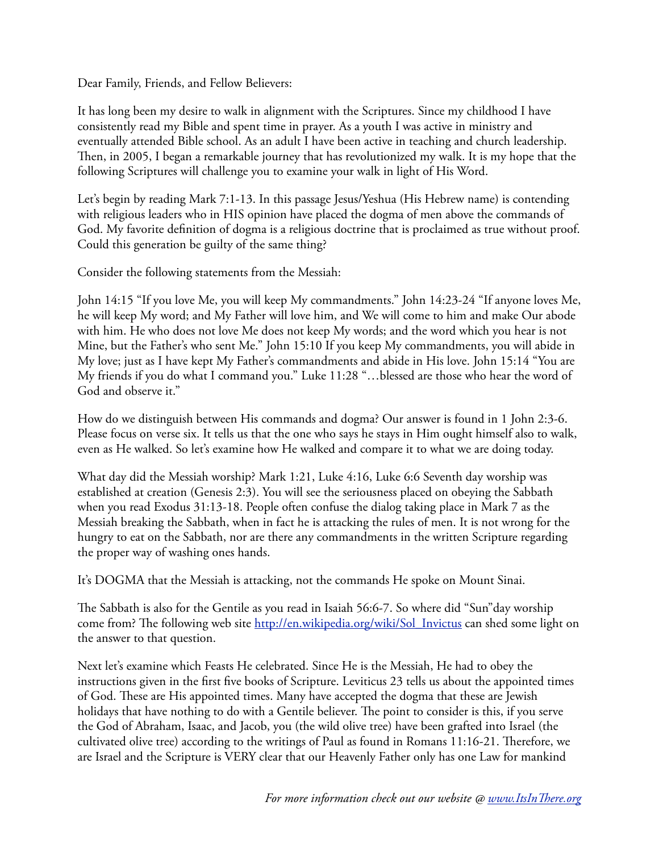Dear Family, Friends, and Fellow Believers:

It has long been my desire to walk in alignment with the Scriptures. Since my childhood I have consistently read my Bible and spent time in prayer. As a youth I was active in ministry and eventually attended Bible school. As an adult I have been active in teaching and church leadership. Then, in 2005, I began a remarkable journey that has revolutionized my walk. It is my hope that the following Scriptures will challenge you to examine your walk in light of His Word.

Let's begin by reading Mark 7:1-13. In this passage Jesus/Yeshua (His Hebrew name) is contending with religious leaders who in HIS opinion have placed the dogma of men above the commands of God. My favorite definition of dogma is a religious doctrine that is proclaimed as true without proof. Could this generation be guilty of the same thing?

Consider the following statements from the Messiah:

John 14:15 "If you love Me, you will keep My commandments." John 14:23-24 "If anyone loves Me, he will keep My word; and My Father will love him, and We will come to him and make Our abode with him. He who does not love Me does not keep My words; and the word which you hear is not Mine, but the Father's who sent Me." John 15:10 If you keep My commandments, you will abide in My love; just as I have kept My Father's commandments and abide in His love. John 15:14 "You are My friends if you do what I command you." Luke 11:28 "…blessed are those who hear the word of God and observe it."

How do we distinguish between His commands and dogma? Our answer is found in 1 John 2:3-6. Please focus on verse six. It tells us that the one who says he stays in Him ought himself also to walk, even as He walked. So let's examine how He walked and compare it to what we are doing today.

What day did the Messiah worship? Mark 1:21, Luke 4:16, Luke 6:6 Seventh day worship was established at creation (Genesis 2:3). You will see the seriousness placed on obeying the Sabbath when you read Exodus 31:13-18. People often confuse the dialog taking place in Mark 7 as the Messiah breaking the Sabbath, when in fact he is attacking the rules of men. It is not wrong for the hungry to eat on the Sabbath, nor are there any commandments in the written Scripture regarding the proper way of washing ones hands.

It's DOGMA that the Messiah is attacking, not the commands He spoke on Mount Sinai.

e Sabbath is also for the Gentile as you read in Isaiah 56:6-7. So where did "Sun"day worship come from? The following web site [http://en.wikipedia.org/wiki/Sol\\_Invictus](http://en.wikipedia.org/wiki/Sol_Invictus) can shed some light on the answer to that question.

Next let's examine which Feasts He celebrated. Since He is the Messiah, He had to obey the instructions given in the first five books of Scripture. Leviticus 23 tells us about the appointed times of God. These are His appointed times. Many have accepted the dogma that these are Jewish holidays that have nothing to do with a Gentile believer. The point to consider is this, if you serve the God of Abraham, Isaac, and Jacob, you (the wild olive tree) have been grafted into Israel (the cultivated olive tree) according to the writings of Paul as found in Romans  $11:16-21$ . Therefore, we are Israel and the Scripture is VERY clear that our Heavenly Father only has one Law for mankind